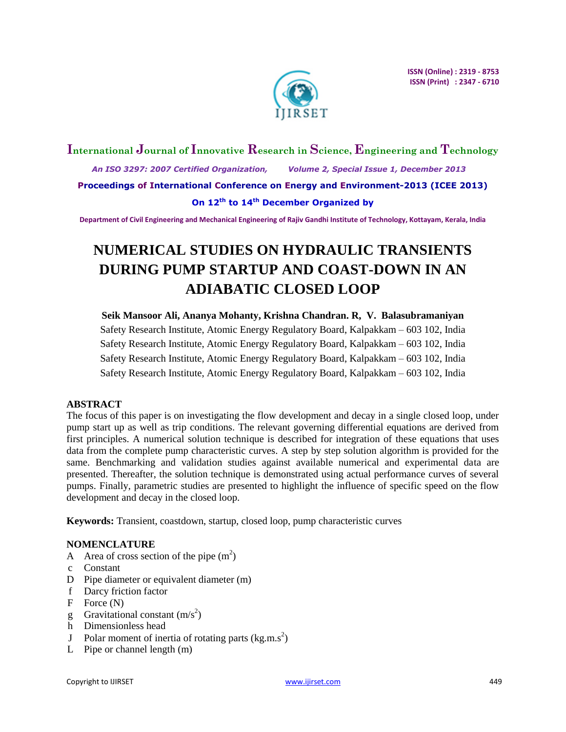

## **International Journal of Innovative Research in Science, Engineering and Technology**  *An ISO 3297: 2007 Certified Organization, Volume 2, Special Issue 1, December 2013* **Proceedings of International Conference on Energy and Environment-2013 (ICEE 2013) On 12th to 14th December Organized by**

**Department of Civil Engineering and Mechanical Engineering of Rajiv Gandhi Institute of Technology, Kottayam, Kerala, India**

# **NUMERICAL STUDIES ON HYDRAULIC TRANSIENTS DURING PUMP STARTUP AND COAST-DOWN IN AN ADIABATIC CLOSED LOOP**

**Seik Mansoor Ali, Ananya Mohanty, Krishna Chandran. R, V. Balasubramaniyan** Safety Research Institute, Atomic Energy Regulatory Board, Kalpakkam – 603 102, India Safety Research Institute, Atomic Energy Regulatory Board, Kalpakkam – 603 102, India Safety Research Institute, Atomic Energy Regulatory Board, Kalpakkam – 603 102, India Safety Research Institute, Atomic Energy Regulatory Board, Kalpakkam – 603 102, India

## **ABSTRACT**

The focus of this paper is on investigating the flow development and decay in a single closed loop, under pump start up as well as trip conditions. The relevant governing differential equations are derived from first principles. A numerical solution technique is described for integration of these equations that uses data from the complete pump characteristic curves. A step by step solution algorithm is provided for the same. Benchmarking and validation studies against available numerical and experimental data are presented. Thereafter, the solution technique is demonstrated using actual performance curves of several pumps. Finally, parametric studies are presented to highlight the influence of specific speed on the flow development and decay in the closed loop.

**Keywords:** Transient, coastdown, startup, closed loop, pump characteristic curves

## **NOMENCLATURE**

- A Area of cross section of the pipe  $(m^2)$
- c Constant
- D Pipe diameter or equivalent diameter (m)
- f Darcy friction factor
- F Force (N)
- g Gravitational constant  $(m/s^2)$
- h Dimensionless head
- J Polar moment of inertia of rotating parts  $(kg.m.s<sup>2</sup>)$
- L Pipe or channel length (m)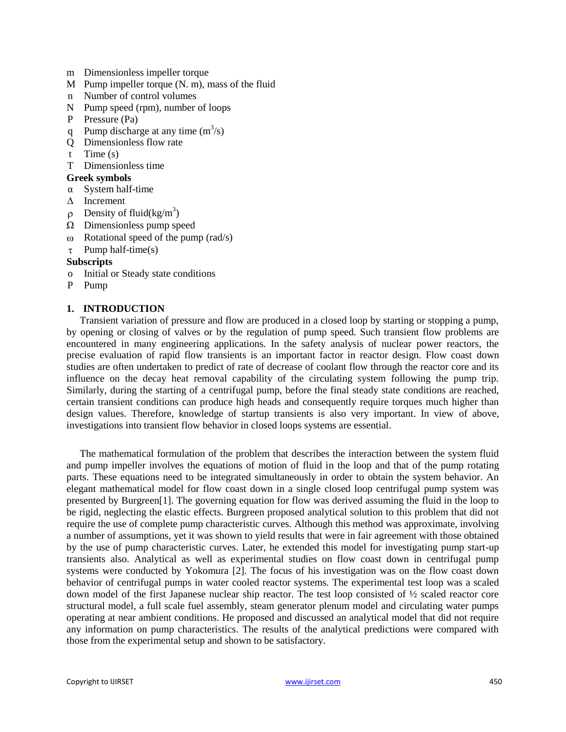- m Dimensionless impeller torque
- M Pump impeller torque (N. m), mass of the fluid
- n Number of control volumes
- N Pump speed (rpm), number of loops
- P Pressure (Pa)
- q Pump discharge at any time  $(m^3/s)$
- Q Dimensionless flow rate
- t Time (s)
- T Dimensionless time
- **Greek symbols**
- α System half-time
- Δ Increment
- $\rho$  Density of fluid(kg/m<sup>3</sup>)
- $\Omega$  Dimensionless pump speed
- $\omega$  Rotational speed of the pump (rad/s)
- $\tau$  Pump half-time(s)

#### **Subscripts**

- o Initial or Steady state conditions
- P Pump

#### **1. INTRODUCTION**

Transient variation of pressure and flow are produced in a closed loop by starting or stopping a pump, by opening or closing of valves or by the regulation of pump speed. Such transient flow problems are encountered in many engineering applications. In the safety analysis of nuclear power reactors, the precise evaluation of rapid flow transients is an important factor in reactor design. Flow coast down studies are often undertaken to predict of rate of decrease of coolant flow through the reactor core and its influence on the decay heat removal capability of the circulating system following the pump trip. Similarly, during the starting of a centrifugal pump, before the final steady state conditions are reached, certain transient conditions can produce high heads and consequently require torques much higher than design values. Therefore, knowledge of startup transients is also very important. In view of above, investigations into transient flow behavior in closed loops systems are essential.

The mathematical formulation of the problem that describes the interaction between the system fluid and pump impeller involves the equations of motion of fluid in the loop and that of the pump rotating parts. These equations need to be integrated simultaneously in order to obtain the system behavior. An elegant mathematical model for flow coast down in a single closed loop centrifugal pump system was presented by Burgreen[1]. The governing equation for flow was derived assuming the fluid in the loop to be rigid, neglecting the elastic effects. Burgreen proposed analytical solution to this problem that did not require the use of complete pump characteristic curves. Although this method was approximate, involving a number of assumptions, yet it was shown to yield results that were in fair agreement with those obtained by the use of pump characteristic curves. Later, he extended this model for investigating pump start-up transients also. Analytical as well as experimental studies on flow coast down in centrifugal pump systems were conducted by Yokomura [2]. The focus of his investigation was on the flow coast down behavior of centrifugal pumps in water cooled reactor systems. The experimental test loop was a scaled down model of the first Japanese nuclear ship reactor. The test loop consisted of ½ scaled reactor core structural model, a full scale fuel assembly, steam generator plenum model and circulating water pumps operating at near ambient conditions. He proposed and discussed an analytical model that did not require any information on pump characteristics. The results of the analytical predictions were compared with those from the experimental setup and shown to be satisfactory.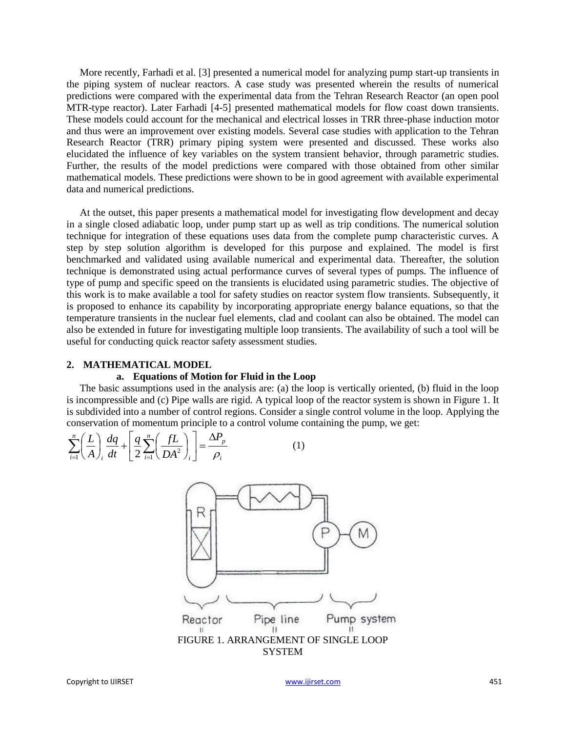More recently, Farhadi et al. [3] presented a numerical model for analyzing pump start-up transients in the piping system of nuclear reactors. A case study was presented wherein the results of numerical predictions were compared with the experimental data from the Tehran Research Reactor (an open pool MTR-type reactor). Later Farhadi [4-5] presented mathematical models for flow coast down transients. These models could account for the mechanical and electrical losses in TRR three-phase induction motor and thus were an improvement over existing models. Several case studies with application to the Tehran Research Reactor (TRR) primary piping system were presented and discussed. These works also elucidated the influence of key variables on the system transient behavior, through parametric studies. Further, the results of the model predictions were compared with those obtained from other similar mathematical models. These predictions were shown to be in good agreement with available experimental data and numerical predictions.

At the outset, this paper presents a mathematical model for investigating flow development and decay in a single closed adiabatic loop, under pump start up as well as trip conditions. The numerical solution technique for integration of these equations uses data from the complete pump characteristic curves. A step by step solution algorithm is developed for this purpose and explained. The model is first benchmarked and validated using available numerical and experimental data. Thereafter, the solution technique is demonstrated using actual performance curves of several types of pumps. The influence of type of pump and specific speed on the transients is elucidated using parametric studies. The objective of this work is to make available a tool for safety studies on reactor system flow transients. Subsequently, it is proposed to enhance its capability by incorporating appropriate energy balance equations, so that the temperature transients in the nuclear fuel elements, clad and coolant can also be obtained. The model can also be extended in future for investigating multiple loop transients. The availability of such a tool will be useful for conducting quick reactor safety assessment studies.

#### **2. MATHEMATICAL MODEL**

#### **a. Equations of Motion for Fluid in the Loop**

The basic assumptions used in the analysis are: (a) the loop is vertically oriented, (b) fluid in the loop is incompressible and (c) Pipe walls are rigid. A typical loop of the reactor system is shown in Figure 1. It is subdivided into a number of control regions. Consider a single control volume in the loop. Applying the conservation of momentum principle to a control volume containing the pump, we get:<br>  $\sum_{i=1}^{n} \left( \frac{L}{L} \right) \frac{dq}{dt} + \left[ \frac{q}{L} \sum_{i=1}^{n} \left( \frac{fL}{L} \right) \right] = \frac{\Delta P_p}{L}$  (1)

$$
\sum_{i=1}^{n} \left(\frac{L}{A}\right)_i \frac{dq}{dt} + \left[\frac{q}{2} \sum_{i=1}^{n} \left(\frac{fL}{DA^2}\right)_i\right] = \frac{\Delta P_p}{\rho_i} \tag{1}
$$

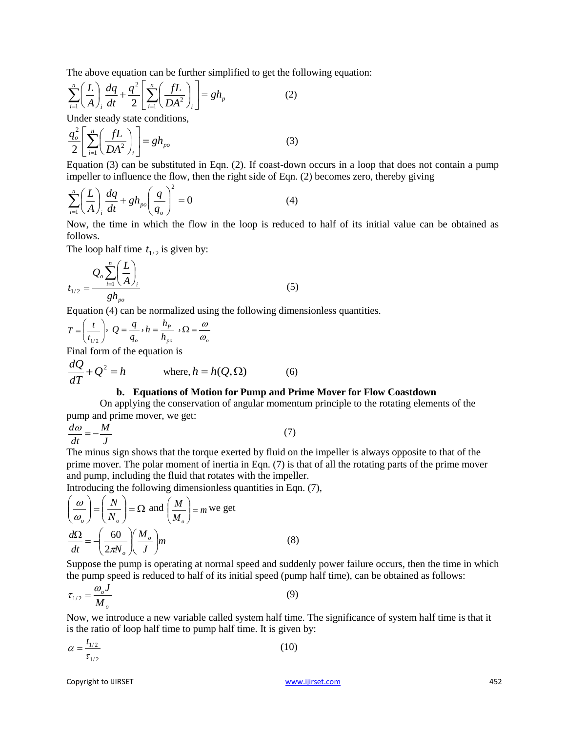The above equation can be further simplified to get the following equation:  
\n
$$
\sum_{i=1}^{n} \left( \frac{L}{A} \right) \frac{dq}{dt} + \frac{q^2}{2} \left[ \sum_{i=1}^{n} \left( \frac{fL}{DA^2} \right)_i \right] = gh_p
$$
\n(2)

Under steady state conditions,

$$
\frac{q_o^2}{2} \left[ \sum_{i=1}^n \left( \frac{fL}{DA^2} \right)_i \right] = gh_{po} \tag{3}
$$

Equation (3) can be substituted in Eqn. (2). If coast-down occurs in a loop that does not contain a pump impeller to influence the flow, then the right side of Eqn. (2) becomes zero, thereby giving

$$
\sum_{i=1}^{n} \left(\frac{L}{A}\right)_i \frac{dq}{dt} + gh_{po} \left(\frac{q}{q_o}\right)^2 = 0 \tag{4}
$$

Now, the time in which the flow in the loop is reduced to half of its initial value can be obtained as follows.

The loop half time  $t_{1/2}$  is given by:

$$
t_{1/2} = \frac{Q_o \sum_{i=1}^{n} \left(\frac{L}{A}\right)_i}{g h_{po}}
$$
 (5)

Equation (4) can be normalized using the following dimensionless quantities.

$$
T = \left(\frac{t}{t_{1/2}}\right), \ Q = \frac{q}{q_o}, h = \frac{h_p}{h_{po}}, \ \Omega = \frac{\omega}{\omega_o}
$$

Final form of the equation is

$$
\frac{dQ}{dT} + Q^2 = h \qquad \text{where, } h = h(Q, \Omega) \tag{6}
$$

## **b. Equations of Motion for Pump and Prime Mover for Flow Coastdown**

On applying the conservation of angular momentum principle to the rotating elements of the pump and prime mover, we get:

*J M dt*  $\frac{d\omega}{dt} = -\frac{M}{dt}$  (7)

The minus sign shows that the torque exerted by fluid on the impeller is always opposite to that of the prime mover. The polar moment of inertia in Eqn. (7) is that of all the rotating parts of the prime mover and pump, including the fluid that rotates with the impeller.

Introducing the following dimensionless quantities in Eqn. (7),

$$
\left(\frac{\omega}{\omega_o}\right) = \left(\frac{N}{N_o}\right) = \Omega \text{ and } \left(\frac{M}{M_o}\right) = m \text{ we get}
$$
\n
$$
\frac{d\Omega}{dt} = -\left(\frac{60}{2\pi N_o}\right)\left(\frac{M_o}{J}\right)m
$$
\n(8)

Suppose the pump is operating at normal speed and suddenly power failure occurs, then the time in which the pump speed is reduced to half of its initial speed (pump half time), can be obtained as follows:

$$
\tau_{1/2} = \frac{\omega_o J}{M_o} \tag{9}
$$

Now, we introduce a new variable called system half time. The significance of system half time is that it is the ratio of loop half time to pump half time. It is given by:

$$
\alpha = \frac{t_{1/2}}{\tau_{1/2}}\tag{10}
$$

Copyright to IJIRSET [www.ijirset.com](http://www.ijirset.com/) 452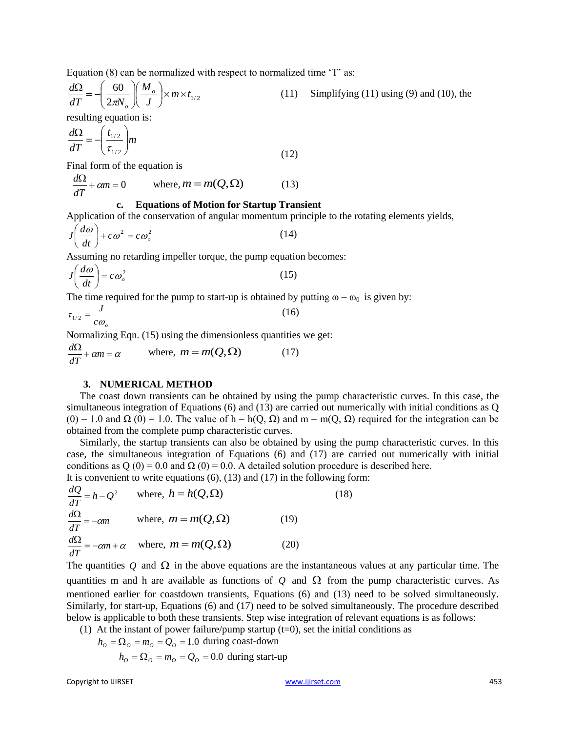Equation  $(8)$  can be normalized with respect to normalized time  $T$  as:

$$
\frac{d\Omega}{dT} = -\left(\frac{60}{2\pi N_o}\right)\left(\frac{M_o}{J}\right) \times m \times t_{1/2}
$$
 (11) Simplifying (11) using (9) and (10), the

resulting equation is:

$$
\frac{d\Omega}{dT} = -\left(\frac{t_{1/2}}{\tau_{1/2}}\right)m\tag{12}
$$

Final form of the equation is

$$
\frac{d\Omega}{dT} + \alpha m = 0 \qquad \text{where, } m = m(Q, \Omega) \tag{13}
$$

#### **c. Equations of Motion for Startup Transient**

Application of the conservation of angular momentum principle to the rotating elements yields,

$$
J\left(\frac{d\omega}{dt}\right) + c\omega^2 = c\omega_o^2\tag{14}
$$

Assuming no retarding impeller torque, the pump equation becomes:

$$
J\left(\frac{d\omega}{dt}\right) = c\omega_o^2\tag{15}
$$

The time required for the pump to start-up is obtained by putting  $\omega = \omega_0$  is given by:

$$
\tau_{1/2} = \frac{J}{c\omega_o} \tag{16}
$$

Normalizing Eqn. (15) using the dimensionless quantities we get:

$$
\frac{d\Omega}{dT} + cm = \alpha \qquad \text{where, } m = m(Q, \Omega) \tag{17}
$$

#### **3. NUMERICAL METHOD**

The coast down transients can be obtained by using the pump characteristic curves. In this case, the simultaneous integration of Equations (6) and (13) are carried out numerically with initial conditions as Q (0) = 1.0 and  $\Omega$  (0) = 1.0. The value of h = h(Q,  $\Omega$ ) and m = m(Q,  $\Omega$ ) required for the integration can be obtained from the complete pump characteristic curves.

Similarly, the startup transients can also be obtained by using the pump characteristic curves. In this case, the simultaneous integration of Equations (6) and (17) are carried out numerically with initial conditions as Q (0) = 0.0 and  $\Omega$  (0) = 0.0. A detailed solution procedure is described here. It is convenient to write equations  $(6)$ ,  $(13)$  and  $(17)$  in the following form:

$$
\frac{dQ}{dT} = h - Q^2 \quad \text{where, } h = h(Q, \Omega) \tag{18}
$$
\n
$$
\frac{d\Omega}{dT} = -\alpha m \quad \text{where, } m = m(Q, \Omega) \tag{19}
$$
\n
$$
\frac{d\Omega}{dT} = -\alpha m + \alpha \quad \text{where, } m = m(Q, \Omega) \tag{20}
$$

The quantities  $Q$  and  $\Omega$  in the above equations are the instantaneous values at any particular time. The quantities m and h are available as functions of  $Q$  and  $\Omega$  from the pump characteristic curves. As mentioned earlier for coastdown transients, Equations (6) and (13) need to be solved simultaneously. Similarly, for start-up, Equations (6) and (17) need to be solved simultaneously. The procedure described below is applicable to both these transients. Step wise integration of relevant equations is as follows:

(1) At the instant of power failure/pump startup  $(t=0)$ , set the initial conditions as

$$
h_o = \Omega_o = m_o = Q_o = 1.0
$$
 during coast-down  

$$
h_o = \Omega_o = m_o = Q_o = 0.0
$$
 during start-up

Copyright to IJIRSET **1996** Copyright to IJIRSET **1996** Copyright to IJIRSET **1996** 253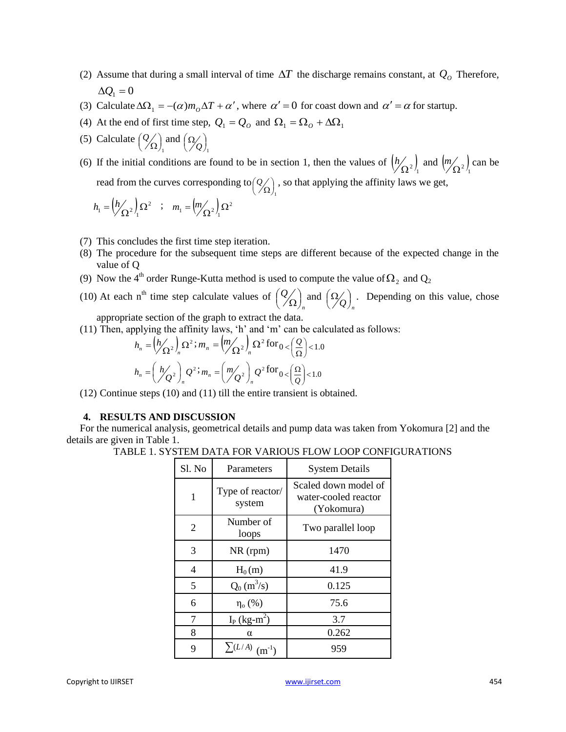- (2) Assume that during a small interval of time  $\Delta T$  the discharge remains constant, at  $Q_0$  Therefore,  $\Delta Q_1 = 0$
- (3) Calculate  $\Delta\Omega_1 = -(\alpha)m_0\Delta T + \alpha'$ , where  $\alpha' = 0$  for coast down and  $\alpha' = \alpha$  for startup.
- (4) At the end of first time step,  $Q_1 = Q_0$  and  $\Omega_1 = \Omega_0 + \Delta\Omega_1$
- (5) Calculate  $\int_{1}$  $\left( 2\!\!/_{\Omega}\right)$ ſ  $\Omega$  $Q(\)$  and  $\int_{1}$  $\left( \frac{\Omega}{\ell} \right)$  $\left(\frac{\Omega}{\sqrt{Q}}\right)$

(6) If the initial conditions are found to be in section 1, then the values of  $\left(\frac{h}{\Omega^2}\right)_1$  $\frac{h}{\Omega^2}$  and  $\left(\frac{m}{\Omega^2}\right)$  of  $m(z)$  can be read from the curves corresponding to  $\int_{1}$  $\left( 2\!\!\!\left\langle 2\!\!\!\left\langle 2\!\!\!\right\rangle \right\rangle _{2}$ ſ  $\Omega$  ,  $Q(\cdot)$ , so that applying the affinity laws we get,

$$
h_1 = \left(\frac{h}{\Omega^2}\right)_1 \Omega^2 \quad ; \quad m_1 = \left(\frac{m}{\Omega^2}\right)_1 \Omega^2
$$

- (7) This concludes the first time step iteration.
- (8) The procedure for the subsequent time steps are different because of the expected change in the value of Q
- (9) Now the 4<sup>th</sup> order Runge-Kutta method is used to compute the value of  $\Omega_2$  and  $Q_2$
- (10) At each  $n<sup>th</sup>$  time step calculate values of *n*  $\frac{\mathit{Q}}{\mathit{Q}}\biggr)$  $\left( 2\!\!/_{\Omega}\right)$ ſ  $\binom{1}{\Omega}_n$  and  $\left(\frac{\Omega}{Q}\right)_n$  $\left(\begin{smallmatrix} \Omega / \ \end{smallmatrix}\right)$  $\left(\Omega_{\leq}\right)$ . Depending on this value, chose

appropriate section of the graph to extract the data.

(11) Then, applying the affinity laws, "h" and "m" can be calculated as follows:

$$
h_n = \left(\frac{h}{\Omega^2}\right)_n \Omega^2; m_n = \left(\frac{m}{\Omega^2}\right)_n \Omega^2 \text{ for } 0 < \left(\frac{Q}{\Omega}\right) < 1.0
$$
  

$$
h_n = \left(\frac{h}{\Omega^2}\right)_n Q^2; m_n = \left(\frac{m}{\Omega^2}\right)_n Q^2 \text{ for } 0 < \left(\frac{\Omega}{Q}\right) < 1.0
$$

(12) Continue steps (10) and (11) till the entire transient is obtained.

## **4. RESULTS AND DISCUSSION**

For the numerical analysis, geometrical details and pump data was taken from Yokomura [2] and the details are given in Table 1.

| Sl. No | Parameters                 | <b>System Details</b>                                      |  |
|--------|----------------------------|------------------------------------------------------------|--|
| 1      | Type of reactor/<br>system | Scaled down model of<br>water-cooled reactor<br>(Yokomura) |  |
| 2      | Number of<br>loops         | Two parallel loop                                          |  |
| 3      | $NR$ (rpm)                 | 1470                                                       |  |
| 4      | $H_0(m)$                   | 41.9                                                       |  |
| 5      | $Q_0(m^3/s)$               | 0.125                                                      |  |
| 6      | $\eta$ <sub>o</sub> (%)    | 75.6                                                       |  |
| 7      | $I_P$ (kg-m <sup>2</sup> ) | 3.7                                                        |  |
| 8      | α                          | 0.262                                                      |  |
| 9      | $\sum (L/A)$ (m)           | 959                                                        |  |

TABLE 1. SYSTEM DATA FOR VARIOUS FLOW LOOP CONFIGURATIONS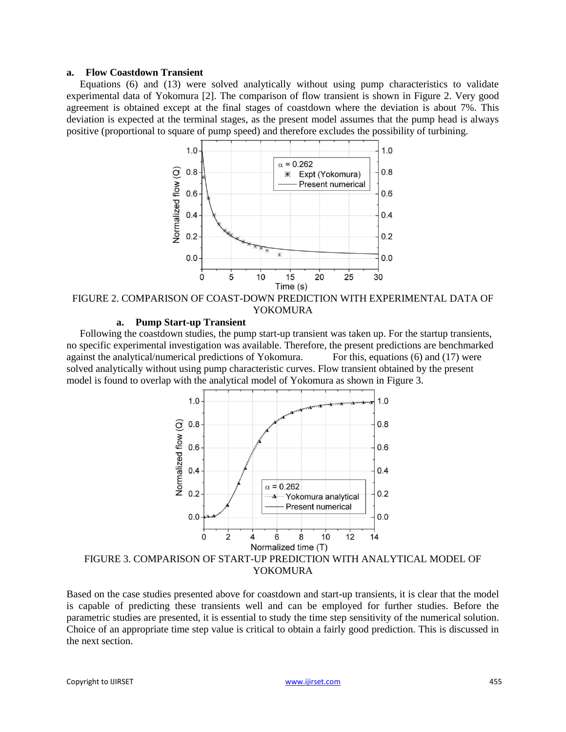#### **a. Flow Coastdown Transient**

Equations (6) and (13) were solved analytically without using pump characteristics to validate experimental data of Yokomura [2]. The comparison of flow transient is shown in Figure 2. Very good agreement is obtained except at the final stages of coastdown where the deviation is about 7%. This deviation is expected at the terminal stages, as the present model assumes that the pump head is always positive (proportional to square of pump speed) and therefore excludes the possibility of turbining.



FIGURE 2. COMPARISON OF COAST-DOWN PREDICTION WITH EXPERIMENTAL DATA OF YOKOMURA

#### **a. Pump Start-up Transient**

Following the coastdown studies, the pump start-up transient was taken up. For the startup transients, no specific experimental investigation was available. Therefore, the present predictions are benchmarked against the analytical/numerical predictions of Yokomura. For this, equations (6) and (17) were solved analytically without using pump characteristic curves. Flow transient obtained by the present model is found to overlap with the analytical model of Yokomura as shown in Figure 3.



Based on the case studies presented above for coastdown and start-up transients, it is clear that the model is capable of predicting these transients well and can be employed for further studies. Before the parametric studies are presented, it is essential to study the time step sensitivity of the numerical solution. Choice of an appropriate time step value is critical to obtain a fairly good prediction. This is discussed in the next section.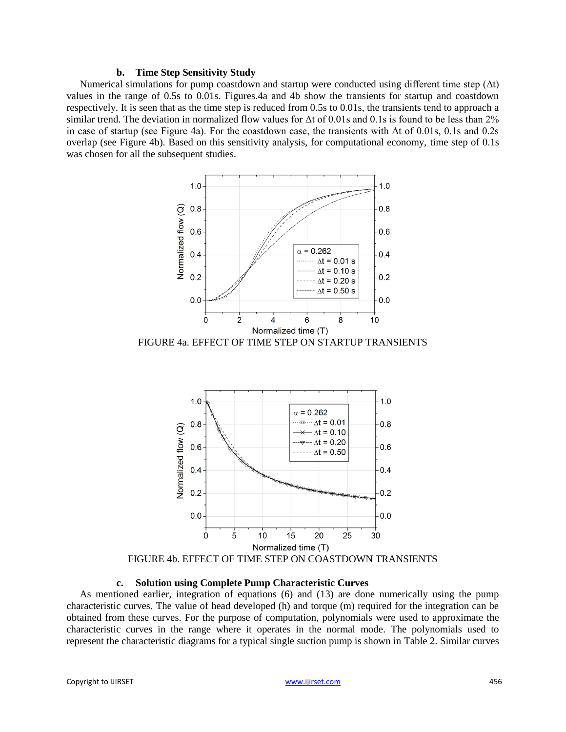#### **b. Time Step Sensitivity Study**

Numerical simulations for pump coastdown and startup were conducted using different time step  $(\Delta t)$ values in the range of 0.5s to 0.01s. Figures.4a and 4b show the transients for startup and coastdown respectively. It is seen that as the time step is reduced from 0.5s to 0.01s, the transients tend to approach a similar trend. The deviation in normalized flow values for Δt of 0.01s and 0.1s is found to be less than 2% in case of startup (see Figure 4a). For the coastdown case, the transients with Δt of 0.01s, 0.1s and 0.2s overlap (see Figure 4b). Based on this sensitivity analysis, for computational economy, time step of 0.1s was chosen for all the subsequent studies.



FIGURE 4a. EFFECT OF TIME STEP ON STARTUP TRANSIENTS



FIGURE 4b. EFFECT OF TIME STEP ON COASTDOWN TRANSIENTS

#### **c. Solution using Complete Pump Characteristic Curves**

As mentioned earlier, integration of equations (6) and (13) are done numerically using the pump characteristic curves. The value of head developed (h) and torque (m) required for the integration can be obtained from these curves. For the purpose of computation, polynomials were used to approximate the characteristic curves in the range where it operates in the normal mode. The polynomials used to represent the characteristic diagrams for a typical single suction pump is shown in Table 2. Similar curves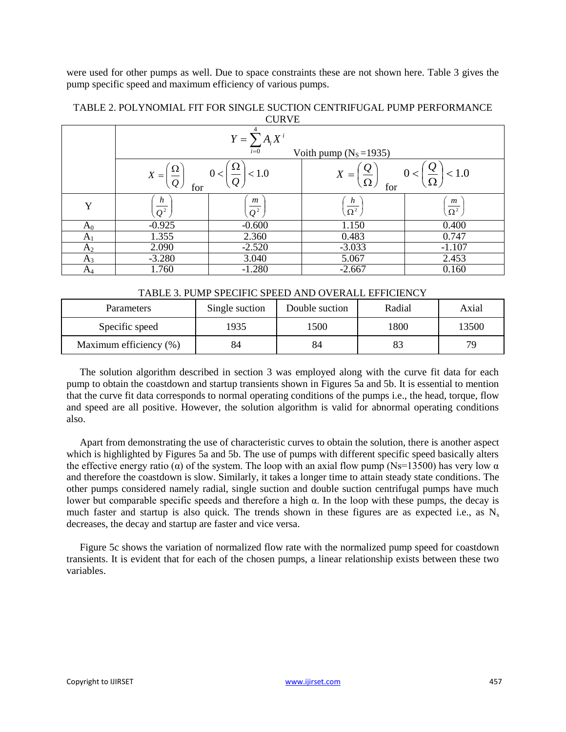were used for other pumps as well. Due to space constraints these are not shown here. Table 3 gives the pump specific speed and maximum efficiency of various pumps.

| ~~~~           |                                                        |                                      |                                                                |                                     |  |  |  |  |
|----------------|--------------------------------------------------------|--------------------------------------|----------------------------------------------------------------|-------------------------------------|--|--|--|--|
|                | $Y = \sum A_i X^i$<br>$i=0$<br>Voith pump $(N_s=1935)$ |                                      |                                                                |                                     |  |  |  |  |
|                | $X =$<br>$Q_{\iota}$<br>for                            | 73<br>< 1.0<br>0<                    | $\underline{\underline{v}}$<br>< 1.0<br>$X =$<br>Ω<br>Ω<br>for |                                     |  |  |  |  |
| Y              | h<br>$\overline{Q}^2$                                  | $\boldsymbol{m}$<br>$\overline{Q^2}$ | $\boldsymbol{h}$<br>$\overline{\Omega^2}$                      | $\left(\frac{m}{\Omega^2}\right)^n$ |  |  |  |  |
| $\rm A_0$      | $-0.925$                                               | $-0.600$                             | 1.150                                                          | 0.400                               |  |  |  |  |
| A <sub>1</sub> | 1.355                                                  | 2.360                                | 0.483                                                          | 0.747                               |  |  |  |  |
| A <sub>2</sub> | 2.090                                                  | $-2.520$                             | $-3.033$                                                       | $-1.107$                            |  |  |  |  |
| $A_3$          | $-3.280$                                               | 3.040                                | 5.067                                                          | 2.453                               |  |  |  |  |
| $A_4$          | 1.760                                                  | $-1.280$                             | $-2.667$                                                       | 0.160                               |  |  |  |  |

#### TABLE 2. POLYNOMIAL FIT FOR SINGLE SUCTION CENTRIFUGAL PUMP PERFORMANCE **CURVE**

## TABLE 3. PUMP SPECIFIC SPEED AND OVERALL EFFICIENCY

| Parameters             | Single suction | Double suction | Radial | Axial |
|------------------------|----------------|----------------|--------|-------|
| Specific speed         | 1935           | 500            | 1800   | 13500 |
| Maximum efficiency (%) | 84             | 84             |        | 79.   |

The solution algorithm described in section 3 was employed along with the curve fit data for each pump to obtain the coastdown and startup transients shown in Figures 5a and 5b. It is essential to mention that the curve fit data corresponds to normal operating conditions of the pumps i.e., the head, torque, flow and speed are all positive. However, the solution algorithm is valid for abnormal operating conditions also.

Apart from demonstrating the use of characteristic curves to obtain the solution, there is another aspect which is highlighted by Figures 5a and 5b. The use of pumps with different specific speed basically alters the effective energy ratio ( $\alpha$ ) of the system. The loop with an axial flow pump (Ns=13500) has very low  $\alpha$ and therefore the coastdown is slow. Similarly, it takes a longer time to attain steady state conditions. The other pumps considered namely radial, single suction and double suction centrifugal pumps have much lower but comparable specific speeds and therefore a high α. In the loop with these pumps, the decay is much faster and startup is also quick. The trends shown in these figures are as expected i.e., as  $N_s$ decreases, the decay and startup are faster and vice versa.

Figure 5c shows the variation of normalized flow rate with the normalized pump speed for coastdown transients. It is evident that for each of the chosen pumps, a linear relationship exists between these two variables.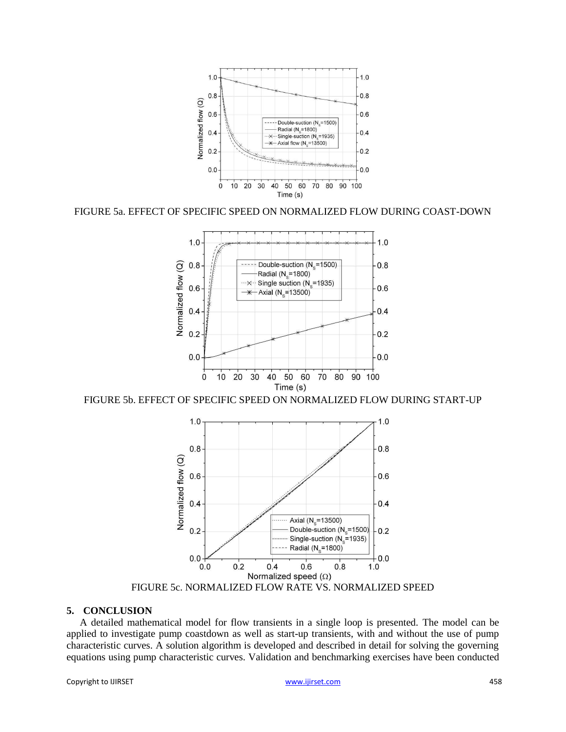

FIGURE 5a. EFFECT OF SPECIFIC SPEED ON NORMALIZED FLOW DURING COAST-DOWN



FIGURE 5b. EFFECT OF SPECIFIC SPEED ON NORMALIZED FLOW DURING START-UP



#### **5. CONCLUSION**

A detailed mathematical model for flow transients in a single loop is presented. The model can be applied to investigate pump coastdown as well as start-up transients, with and without the use of pump characteristic curves. A solution algorithm is developed and described in detail for solving the governing equations using pump characteristic curves. Validation and benchmarking exercises have been conducted